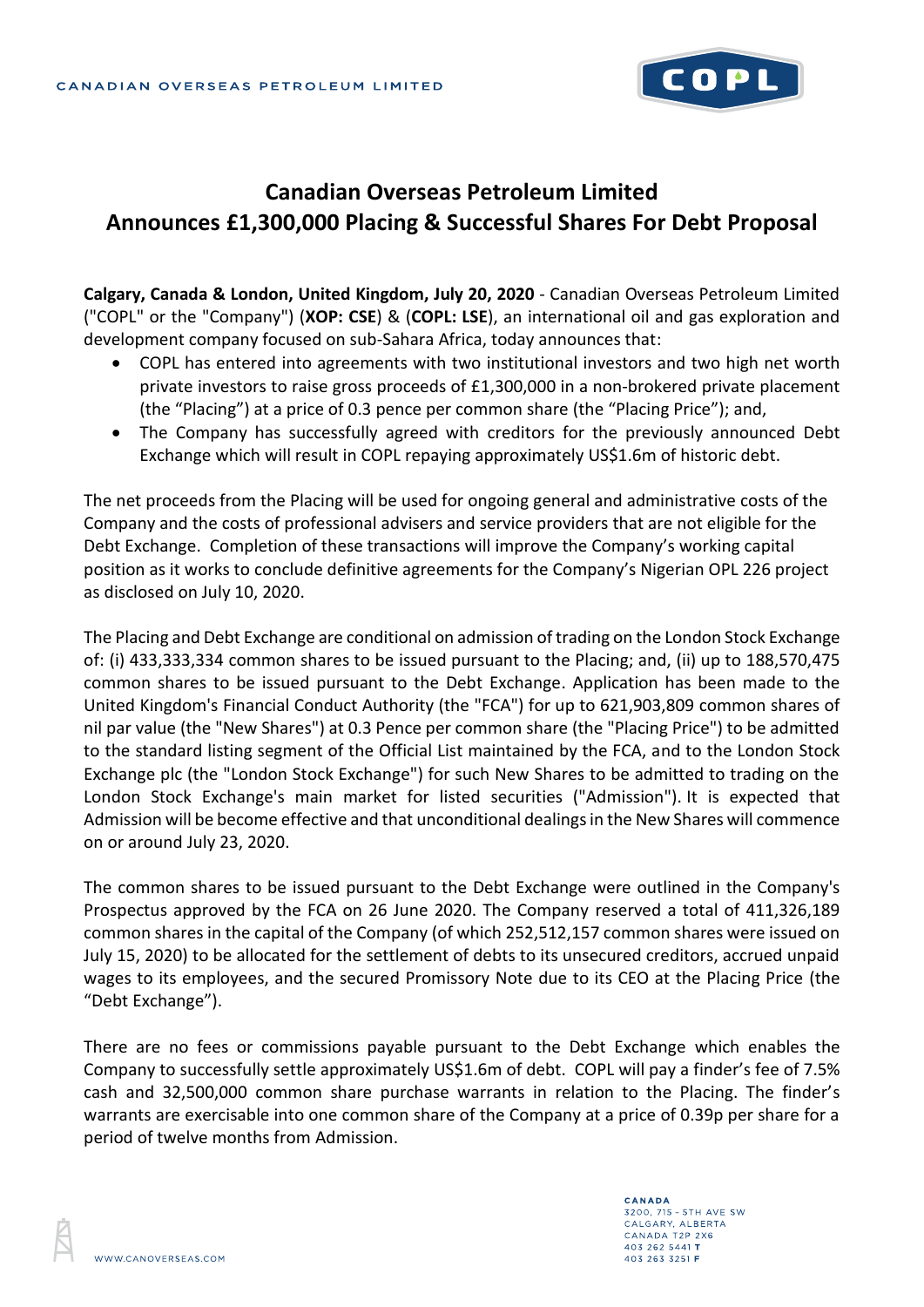

## **Canadian Overseas Petroleum Limited Announces £1,300,000 Placing & Successful Shares For Debt Proposal**

**Calgary, Canada & London, United Kingdom, July 20, 2020** - Canadian Overseas Petroleum Limited ("COPL" or the "Company") (**XOP: CSE**) & (**COPL: LSE**), an international oil and gas exploration and development company focused on sub-Sahara Africa, today announces that:

- COPL has entered into agreements with two institutional investors and two high net worth private investors to raise gross proceeds of £1,300,000 in a non-brokered private placement (the "Placing") at a price of 0.3 pence per common share (the "Placing Price"); and,
- The Company has successfully agreed with creditors for the previously announced Debt Exchange which will result in COPL repaying approximately US\$1.6m of historic debt.

The net proceeds from the Placing will be used for ongoing general and administrative costs of the Company and the costs of professional advisers and service providers that are not eligible for the Debt Exchange. Completion of these transactions will improve the Company's working capital position as it works to conclude definitive agreements for the Company's Nigerian OPL 226 project as disclosed on July 10, 2020.

The Placing and Debt Exchange are conditional on admission of trading on the London Stock Exchange of: (i) 433,333,334 common shares to be issued pursuant to the Placing; and, (ii) up to 188,570,475 common shares to be issued pursuant to the Debt Exchange. Application has been made to the United Kingdom's Financial Conduct Authority (the "FCA") for up to 621,903,809 common shares of nil par value (the "New Shares") at 0.3 Pence per common share (the "Placing Price") to be admitted to the standard listing segment of the Official List maintained by the FCA, and to the London Stock Exchange plc (the "London Stock Exchange") for such New Shares to be admitted to trading on the London Stock Exchange's main market for listed securities ("Admission"). It is expected that Admission will be become effective and that unconditional dealings in the New Shares will commence on or around July 23, 2020.

The common shares to be issued pursuant to the Debt Exchange were outlined in the Company's Prospectus approved by the FCA on 26 June 2020. The Company reserved a total of 411,326,189 common shares in the capital of the Company (of which 252,512,157 common shares were issued on July 15, 2020) to be allocated for the settlement of debts to its unsecured creditors, accrued unpaid wages to its employees, and the secured Promissory Note due to its CEO at the Placing Price (the "Debt Exchange").

There are no fees or commissions payable pursuant to the Debt Exchange which enables the Company to successfully settle approximately US\$1.6m of debt. COPL will pay a finder's fee of 7.5% cash and 32,500,000 common share purchase warrants in relation to the Placing. The finder's warrants are exercisable into one common share of the Company at a price of 0.39p per share for a period of twelve months from Admission.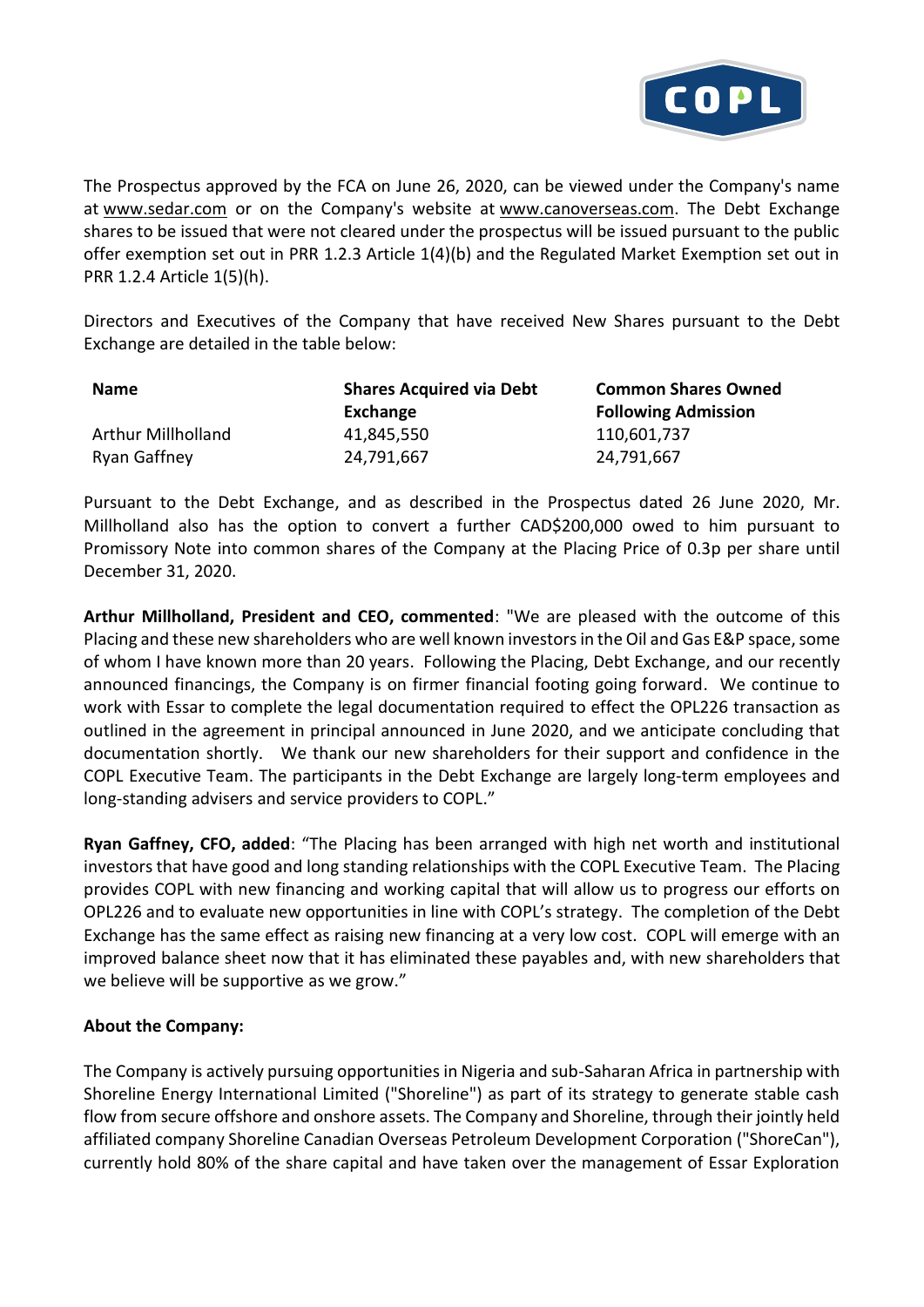

The Prospectus approved by the FCA on June 26, 2020, can be viewed under the Company's name at [www.sedar.com](http://www.sedar.com/) or on the Company's website at [www.canoverseas.com.](http://www.canoverseas.com/) The Debt Exchange shares to be issued that were not cleared under the prospectus will be issued pursuant to the public offer exemption set out in PRR 1.2.3 Article 1(4)(b) and the Regulated Market Exemption set out in PRR 1.2.4 Article 1(5)(h).

Directors and Executives of the Company that have received New Shares pursuant to the Debt Exchange are detailed in the table below:

| <b>Name</b>  | <b>Shares Acquired via Debt</b><br>Exchange | <b>Common Shares Owned</b><br><b>Following Admission</b> |
|--------------|---------------------------------------------|----------------------------------------------------------|
|              |                                             |                                                          |
| Ryan Gaffney | 24,791,667                                  | 24,791,667                                               |

Pursuant to the Debt Exchange, and as described in the Prospectus dated 26 June 2020, Mr. Millholland also has the option to convert a further CAD\$200,000 owed to him pursuant to Promissory Note into common shares of the Company at the Placing Price of 0.3p per share until December 31, 2020.

**Arthur Millholland, President and CEO, commented**: "We are pleased with the outcome of this Placing and these new shareholders who are well known investors in the Oil and Gas E&P space, some of whom I have known more than 20 years. Following the Placing, Debt Exchange, and our recently announced financings, the Company is on firmer financial footing going forward. We continue to work with Essar to complete the legal documentation required to effect the OPL226 transaction as outlined in the agreement in principal announced in June 2020, and we anticipate concluding that documentation shortly. We thank our new shareholders for their support and confidence in the COPL Executive Team. The participants in the Debt Exchange are largely long-term employees and long-standing advisers and service providers to COPL."

**Ryan Gaffney, CFO, added**: "The Placing has been arranged with high net worth and institutional investors that have good and long standing relationships with the COPL Executive Team. The Placing provides COPL with new financing and working capital that will allow us to progress our efforts on OPL226 and to evaluate new opportunities in line with COPL's strategy. The completion of the Debt Exchange has the same effect as raising new financing at a very low cost. COPL will emerge with an improved balance sheet now that it has eliminated these payables and, with new shareholders that we believe will be supportive as we grow."

## **About the Company:**

The Company is actively pursuing opportunities in Nigeria and sub-Saharan Africa in partnership with Shoreline Energy International Limited ("Shoreline") as part of its strategy to generate stable cash flow from secure offshore and onshore assets. The Company and Shoreline, through their jointly held affiliated company Shoreline Canadian Overseas Petroleum Development Corporation ("ShoreCan"), currently hold 80% of the share capital and have taken over the management of Essar Exploration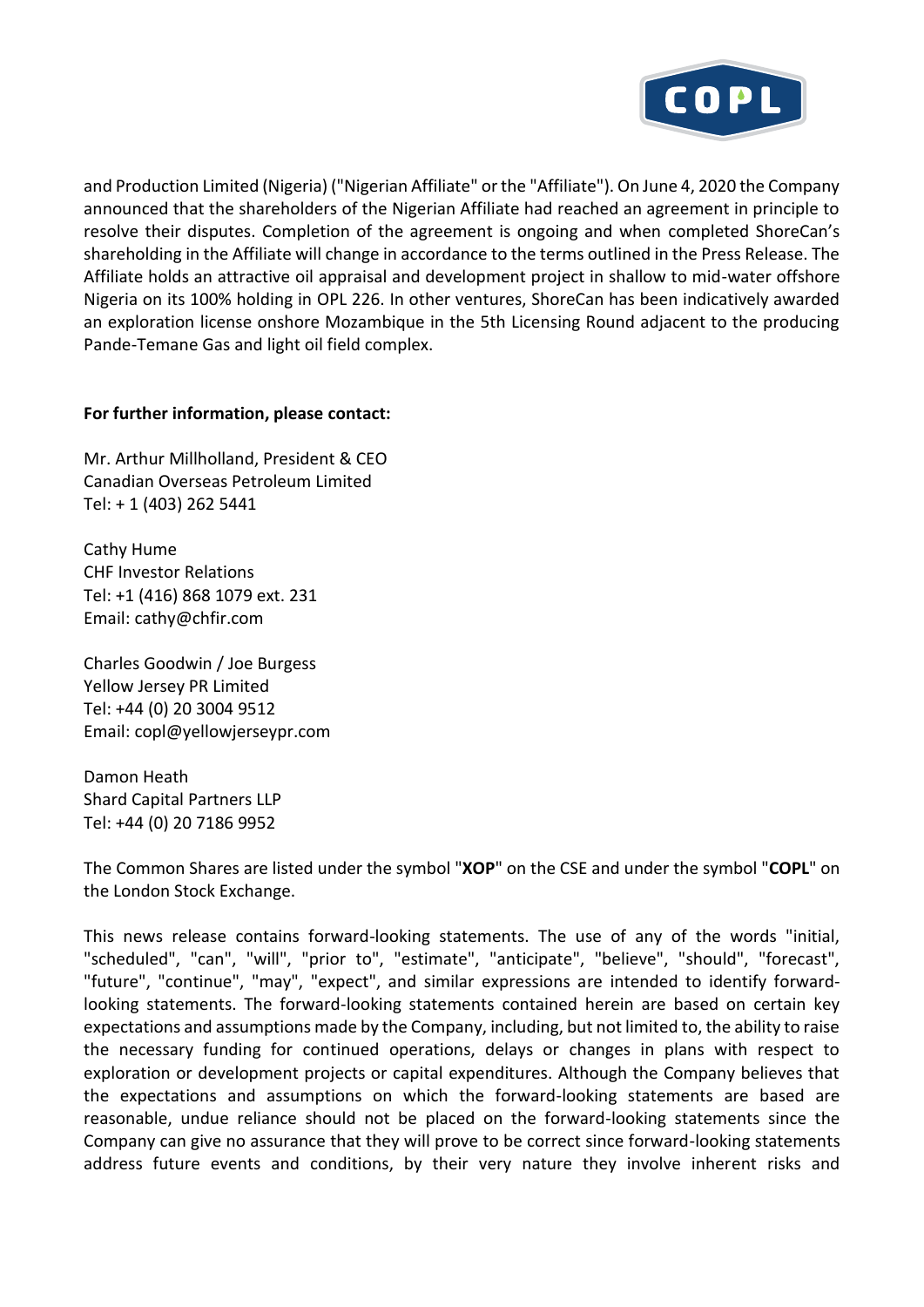

and Production Limited (Nigeria) ("Nigerian Affiliate" or the "Affiliate"). On June 4, 2020 the Company announced that the shareholders of the Nigerian Affiliate had reached an agreement in principle to resolve their disputes. Completion of the agreement is ongoing and when completed ShoreCan's shareholding in the Affiliate will change in accordance to the terms outlined in the Press Release. The Affiliate holds an attractive oil appraisal and development project in shallow to mid-water offshore Nigeria on its 100% holding in OPL 226. In other ventures, ShoreCan has been indicatively awarded an exploration license onshore Mozambique in the 5th Licensing Round adjacent to the producing Pande-Temane Gas and light oil field complex.

## **For further information, please contact:**

Mr. Arthur Millholland, President & CEO Canadian Overseas Petroleum Limited Tel: + 1 (403) 262 5441

Cathy Hume CHF Investor Relations Tel: +1 (416) 868 1079 ext. 231 Email: cathy@chfir.com

Charles Goodwin / Joe Burgess Yellow Jersey PR Limited Tel: +44 (0) 20 3004 9512 Email: copl@yellowjerseypr.com

Damon Heath Shard Capital Partners LLP Tel: +44 (0) 20 7186 9952

The Common Shares are listed under the symbol "**XOP**" on the CSE and under the symbol "**COPL**" on the London Stock Exchange.

This news release contains forward-looking statements. The use of any of the words "initial, "scheduled", "can", "will", "prior to", "estimate", "anticipate", "believe", "should", "forecast", "future", "continue", "may", "expect", and similar expressions are intended to identify forwardlooking statements. The forward-looking statements contained herein are based on certain key expectations and assumptions made by the Company, including, but not limited to, the ability to raise the necessary funding for continued operations, delays or changes in plans with respect to exploration or development projects or capital expenditures. Although the Company believes that the expectations and assumptions on which the forward-looking statements are based are reasonable, undue reliance should not be placed on the forward-looking statements since the Company can give no assurance that they will prove to be correct since forward-looking statements address future events and conditions, by their very nature they involve inherent risks and